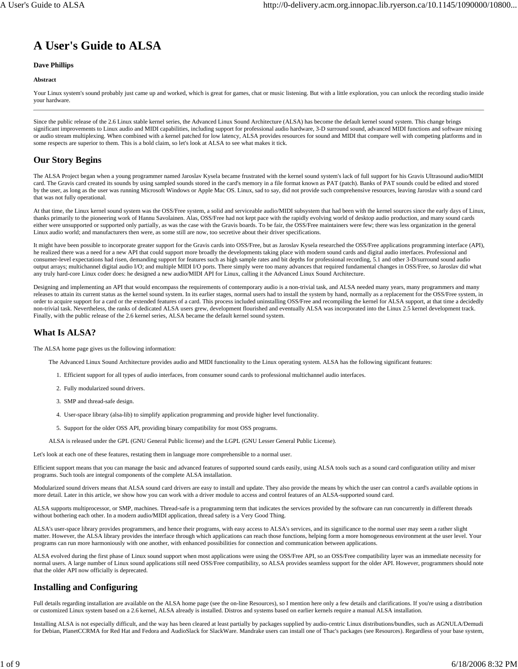# **A User's Guide to ALSA**

#### **Dave Phillips**

#### **Abstract**

Your Linux system's sound probably just came up and worked, which is great for games, chat or music listening. But with a little exploration, you can unlock the recording studio inside your hardware.

Since the public release of the 2.6 Linux stable kernel series, the Advanced Linux Sound Architecture (ALSA) has become the default kernel sound system. This change brings significant improvements to Linux audio and MIDI capabilities, including support for professional audio hardware, 3-D surround sound, advanced MIDI functions and software mixing or audio stream multiplexing. When combined with a kernel patched for low latency, ALSA provides resources for sound and MIDI that compare well with competing platforms and in some respects are superior to them. This is a bold claim, so let's look at ALSA to see what makes it tick.

# **Our Story Begins**

The ALSA Project began when a young programmer named Jaroslav Kysela became frustrated with the kernel sound system's lack of full support for his Gravis Ultrasound audio/MIDI card. The Gravis card created its sounds by using sampled sounds stored in the card's memory in a file format known as PAT (patch). Banks of PAT sounds could be edited and stored by the user, as long as the user was running Microsoft Windows or Apple Mac OS. Linux, sad to say, did not provide such comprehensive resources, leaving Jaroslav with a sound card that was not fully operational.

At that time, the Linux kernel sound system was the OSS/Free system, a solid and serviceable audio/MIDI subsystem that had been with the kernel sources since the early days of Linux, thanks primarily to the pioneering work of Hannu Savolainen. Alas, OSS/Free had not kept pace with the rapidly evolving world of desktop audio production, and many sound cards either were unsupported or supported only partially, as was the case with the Gravis boards. To be fair, the OSS/Free maintainers were few; there was less organization in the general Linux audio world; and manufacturers then were, as some still are now, too secretive about their driver specifications.

It might have been possible to incorporate greater support for the Gravis cards into OSS/Free, but as Jaroslav Kysela researched the OSS/Free applications programming interface (API), he realized there was a need for a new API that could support more broadly the developments taking place with modern sound cards and digital audio interfaces. Professional and consumer-level expectations had risen, demanding support for features such as high sample rates and bit depths for professional recording, 5.1 and other 3-D/surround sound audio output arrays; multichannel digital audio I/O; and multiple MIDI I/O ports. There simply were too many advances that required fundamental changes in OSS/Free, so Jaroslav did what any truly hard-core Linux coder does: he designed a new audio/MIDI API for Linux, calling it the Advanced Linux Sound Architecture.

Designing and implementing an API that would encompass the requirements of contemporary audio is a non-trivial task, and ALSA needed many years, many programmers and many releases to attain its current status as the kernel sound system. In its earlier stages, normal users had to install the system by hand, normally as a replacement for the OSS/Free system, in order to acquire support for a card or the extended features of a card. This process included uninstalling OSS/Free and recompiling the kernel for ALSA support, at that time a decidedly non-trivial task. Nevertheless, the ranks of dedicated ALSA users grew, development flourished and eventually ALSA was incorporated into the Linux 2.5 kernel development track. Finally, with the public release of the 2.6 kernel series, ALSA became the default kernel sound system.

# **What Is ALSA?**

The ALSA home page gives us the following information:

The Advanced Linux Sound Architecture provides audio and MIDI functionality to the Linux operating system. ALSA has the following significant features:

- 1. Efficient support for all types of audio interfaces, from consumer sound cards to professional multichannel audio interfaces.
- 2. Fully modularized sound drivers.
- 3. SMP and thread-safe design.
- 4. User-space library (alsa-lib) to simplify application programming and provide higher level functionality.
- 5. Support for the older OSS API, providing binary compatibility for most OSS programs.
- ALSA is released under the GPL (GNU General Public license) and the LGPL (GNU Lesser General Public License).

Let's look at each one of these features, restating them in language more comprehensible to a normal user.

Efficient support means that you can manage the basic and advanced features of supported sound cards easily, using ALSA tools such as a sound card configuration utility and mixer programs. Such tools are integral components of the complete ALSA installation.

Modularized sound drivers means that ALSA sound card drivers are easy to install and update. They also provide the means by which the user can control a card's available options in more detail. Later in this article, we show how you can work with a driver module to access and control features of an ALSA-supported sound card.

ALSA supports multiprocessor, or SMP, machines. Thread-safe is a programming term that indicates the services provided by the software can run concurrently in different threads without bothering each other. In a modern audio/MIDI application, thread safety is a Very Good Thing.

ALSA's user-space library provides programmers, and hence their programs, with easy access to ALSA's services, and its significance to the normal user may seem a rather slight matter. However, the ALSA library provides the interface through which applications can reach those functions, helping form a more homogeneous environment at the user level. Your programs can run more harmoniously with one another, with enhanced possibilities for connection and communication between applications.

ALSA evolved during the first phase of Linux sound support when most applications were using the OSS/Free API, so an OSS/Free compatibility layer was an immediate necessity for normal users. A large number of Linux sound applications still need OSS/Free compatibility, so ALSA provides seamless support for the older API. However, programmers should note that the older API now officially is deprecated.

# **Installing and Configuring**

Full details regarding installation are available on the ALSA home page (see the on-line Resources), so I mention here only a few details and clarifications. If you're using a distribution or customized Linux system based on a 2.6 kernel, ALSA already is installed. Distros and systems based on earlier kernels require a manual ALSA installation.

Installing ALSA is not especially difficult, and the way has been cleared at least partially by packages supplied by audio-centric Linux distributions/bundles, such as AGNULA/Demudi for Debian, PlanetCCRMA for Red Hat and Fedora and AudioSlack for SlackWare. Mandrake users can install one of Thac's packages (see Resources). Regardless of your base system,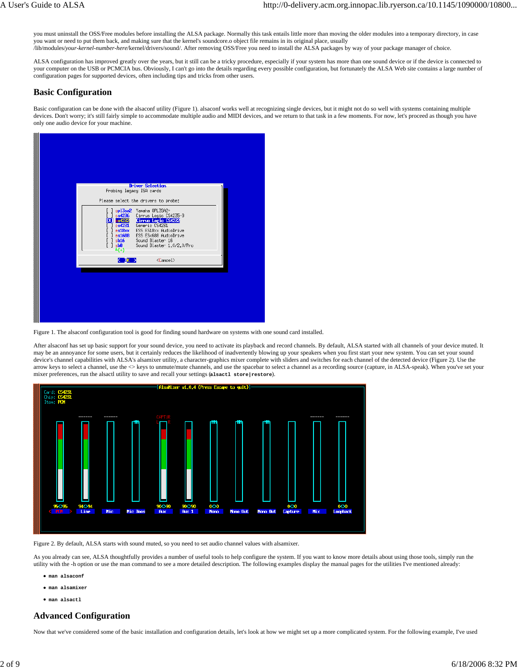you must uninstall the OSS/Free modules before installing the ALSA package. Normally this task entails little more than moving the older modules into a temporary directory, in case you want or need to put them back, and making sure that the kernel's soundcore.o object file remains in its original place, usually /lib/modules/*your-kernel-number-here*/kernel/drivers/sound/. After removing OSS/Free you need to install the ALSA packages by way of your package manager of choice.

ALSA configuration has improved greatly over the years, but it still can be a tricky procedure, especially if your system has more than one sound device or if the device is connected to your computer on the USB or PCMCIA bus. Obviously, I can't go into the details regarding every possible configuration, but fortunately the ALSA Web site contains a large number of configuration pages for supported devices, often including tips and tricks from other users.

## **Basic Configuration**

Basic configuration can be done with the alsaconf utility (Figure 1). alsaconf works well at recognizing single devices, but it might not do so well with systems containing multiple devices. Don't worry; it's still fairly simple to accommodate multiple audio and MIDI devices, and we return to that task in a few moments. For now, let's proceed as though you have only one audio device for your machine.



Figure 1. The alsaconf configuration tool is good for finding sound hardware on systems with one sound card installed.

After alsaconf has set up basic support for your sound device, you need to activate its playback and record channels. By default, ALSA started with all channels of your device muted. It may be an annoyance for some users, but it certainly reduces the likelihood of inadvertently blowing up your speakers when you first start your new system. You can set your sound device's channel capabilities with ALSA's alsamixer utility, a character-graphics mixer complete with sliders and switches for each channel of the detected device (Figure 2). Use the arrow keys to select a channel, use the  $\diamond$  keys to unmute/mute channels, and use the spacebar to select a channel as a recording source (capture, in ALSA-speak). When you've set your mixer preferences, run the alsactl utility to save and recall your settings (**alsactl store|restore**).



Figure 2. By default, ALSA starts with sound muted, so you need to set audio channel values with alsamixer.

As you already can see, ALSA thoughtfully provides a number of useful tools to help configure the system. If you want to know more details about using those tools, simply run the utility with the -h option or use the man command to see a more detailed description. The following examples display the manual pages for the utilities I've mentioned already:

- **man alsaconf**
- **man alsamixer**
- **man alsactl**

### **Advanced Configuration**

Now that we've considered some of the basic installation and configuration details, let's look at how we might set up a more complicated system. For the following example, I've used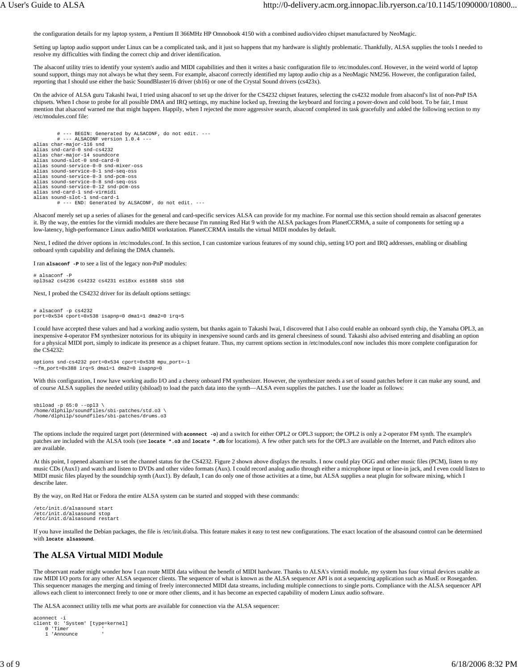the configuration details for my laptop system, a Pentium II 366MHz HP Omnobook 4150 with a combined audio/video chipset manufactured by NeoMagic.

Setting up laptop audio support under Linux can be a complicated task, and it just so happens that my hardware is slightly problematic. Thankfully, ALSA supplies the tools I needed to resolve my difficulties with finding the correct chip and driver identification.

The alsaconf utility tries to identify your system's audio and MIDI capabilities and then it writes a basic configuration file to /etc/modules.conf. However, in the weird world of laptop sound support, things may not always be what they seem. For example, alsaconf correctly identified my laptop audio chip as a NeoMagic NM256. However, the configuration failed, reporting that I should use either the basic SoundBlaster16 driver (sb16) or one of the Crystal Sound drivers (cs423x).

On the advice of ALSA guru Takashi Iwai, I tried using alsaconf to set up the driver for the CS4232 chipset features, selecting the cs4232 module from alsaconf's list of non-PnP ISA chipsets. When I chose to probe for all possible DMA and IRQ settings, my machine locked up, freezing the keyboard and forcing a power-down and cold boot. To be fair, I must mention that alsaconf warned me that might happen. Happily, when I rejected the more aggressive search, alsaconf completed its task gracefully and added the following section to my /etc/modules.conf file:

 # --- BEGIN: Generated by ALSACONF, do not edit. --- # --- ALSACONF version 1.0.4 -- alias char-major-116 snd alias snd-card-0 snd-cs4232 alias char-major-14 soundcore alias sound-slot-0 snd-card-0 alias sound-service-0-0 snd-mixer-oss alias sound-service-0-1 snd-seq-oss alias sound-service-0-3 snd-pcm-oss alias sound-service-0-8 snd-seq-oss alias sound-service-0-12 snd-pcm-oss alias snd-card-1 snd-virmidi alias sound-slot-1 snd-card-1 # --- END: Generated by ALSACONF, do not edit. ---

Alsaconf merely set up a series of aliases for the general and card-specific services ALSA can provide for my machine. For normal use this section should remain as alsaconf generates it. By the way, the entries for the virmidi modules are there because I'm running Red Hat 9 with the ALSA packages from PlanetCCRMA, a suite of components for setting up a low-latency, high-performance Linux audio/MIDI workstation. PlanetCCRMA installs the virtual MIDI modules by default.

Next, I edited the driver options in /etc/modules.conf. In this section, I can customize various features of my sound chip, setting I/O port and IRQ addresses, enabling or disabling onboard synth capability and defining the DMA channels.

I ran **alsaconf -P** to see a list of the legacy non-PnP modules:

# alsaconf -P opl3sa2 cs4236 cs4232 cs4231 es18xx es1688 sb16 sb8

Next, I probed the CS4232 driver for its default options settings:

# alsaconf -p cs4232 port=0x534 cport=0x538 isapnp=0 dma1=1 dma2=0 irq=5

I could have accepted these values and had a working audio system, but thanks again to Takashi Iwai, I discovered that I also could enable an onboard synth chip, the Yamaha OPL3, an inexpensive 4-operator FM synthesizer notorious for its ubiquity in inexpensive sound cards and its general cheesiness of sound. Takashi also advised entering and disabling an option for a physical MIDI port, simply to indicate its presence as a chipset feature. Thus, my current options section in /etc/modules.conf now includes this more complete configuration for the CS4232:

options snd-cs4232 port=0x534 cport=0x538 mpu\_port=-1 ↪fm\_port=0x388 irq=5 dma1=1 dma2=0 isapnp=0

With this configuration, I now have working audio I/O and a cheesy onboard FM synthesizer. However, the synthesizer needs a set of sound patches before it can make any sound, and of course ALSA supplies the needed utility (sbiload) to load the patch data into the synth—ALSA even supplies the patches. I use the loader as follows:

```
sbiload -p 65:0 --opl3 \
/home/dlphilp/soundfiles/sbi-patches/std.o3 \
/home/dlphilp/soundfiles/sbi-patches/drums.o3
```
The options include the required target port (determined with **aconnect -o**) and a switch for either OPL2 or OPL3 support; the OPL2 is only a 2-operator FM synth. The example's patches are included with the ALSA tools (see **locate \*.o3** and **locate \*.db** for locations). A few other patch sets for the OPL3 are available on the Internet, and Patch editors also are available.

At this point, I opened alsamixer to set the channel status for the CS4232. Figure 2 shown above displays the results. I now could play OGG and other music files (PCM), listen to my music CDs (Aux1) and watch and listen to DVDs and other video formats (Aux). I could record analog audio through either a microphone input or line-in jack, and I even could listen to MIDI music files played by the soundchip synth (Aux1). By default, I can do only one of those activities at a time, but ALSA supplies a neat plugin for software mixing, which I describe later.

By the way, on Red Hat or Fedora the entire ALSA system can be started and stopped with these commands:

```
/etc/init.d/alsasound start
/etc/init.d/alsasound stop
/etc/init.d/alsasound restart
```
If you have installed the Debian packages, the file is /etc/init.d/alsa. This feature makes it easy to test new configurations. The exact location of the alsasound control can be determined with **locate alsasound**.

### **The ALSA Virtual MIDI Module**

The observant reader might wonder how I can route MIDI data without the benefit of MIDI hardware. Thanks to ALSA's virmidi module, my system has four virtual devices usable as raw MIDI I/O ports for any other ALSA sequencer clients. The sequencer of what is known as the ALSA sequencer API is not a sequencing application such as MusE or Rosegarden. This sequencer manages the merging and timing of freely interconnected MIDI data streams, including multiple connections to single ports. Compliance with the ALSA sequencer API allows each client to interconnect freely to one or more other clients, and it has become an expected capability of modern Linux audio software.

The ALSA aconnect utility tells me what ports are available for connection via the ALSA sequencer:

```
aconnect -i
client 0: 'System' [type=kernel]
 0 'Timer '
     1 'Announce '
```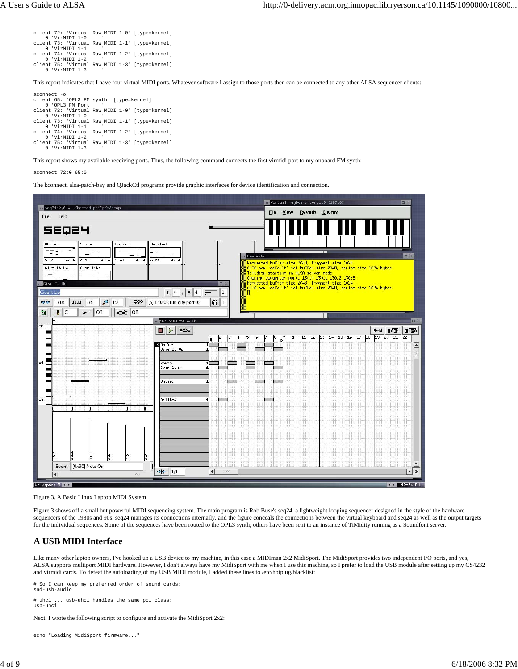```
client 72: 'Virtual Raw MIDI 1-0' [type=kernel]
 0 'VirMIDI 1-0 '
client 73: 'Virtual Raw MIDI 1-1' [type=kernel]
 0 'VirMIDI 1-1 '
client 74: 'Virtual Raw MIDI 1-2' [type=kernel]
 0 'VirMIDI 1-2 '
client 75: 'Virtual Raw MIDI 1-3' [type=kernel]
 0 'VirMIDI 1-3 '
```
This report indicates that I have four virtual MIDI ports. Whatever software I assign to those ports then can be connected to any other ALSA sequencer clients:

aconnect -o client 65: 'OPL3 FM synth' [type=kernel] 0 'OPL3 FM Port ' client 72: 'Virtual Raw MIDI 1-0' [type=kernel] 0 'VirMIDI 1-0 ' 'Virtual Raw MIDI 1-1' [type=kernel] client 73: 'Virtua<br>0 'VirMIDI 1-1 .....<br>Virtual Raw MIDI 1-2' [type=kernel] client 74: 'Virtual<br>0 'VirMIDI 1-2 client 75: 'Virtual Raw MIDI 1-3' [type=kernel] 0 'VirMIDI 1-3 '

This report shows my available receiving ports. Thus, the following command connects the first virmidi port to my onboard FM synth:

aconnect 72:0 65:0

The kconnect, alsa-patch-bay and QJackCtl programs provide graphic interfaces for device identification and connection.



Figure 3. A Basic Linux Laptop MIDI System

Figure 3 shows off a small but powerful MIDI sequencing system. The main program is Rob Buse's seq24, a lightweight looping sequencer designed in the style of the hardware sequencers of the 1980s and 90s. seq24 manages its connections internally, and the figure conceals the connections between the virtual keyboard and seq24 as well as the output targets for the individual sequences. Some of the sequences have been routed to the OPL3 synth; others have been sent to an instance of TiMidity running as a Soundfont server.

### **A USB MIDI Interface**

Like many other laptop owners, I've hooked up a USB device to my machine, in this case a MIDIman 2x2 MidiSport. The MidiSport provides two independent I/O ports, and yes, ALSA supports multiport MIDI hardware. However, I don't always have my MidiSport with me when I use this machine, so I prefer to load the USB module after setting up my CS4232 and virmidi cards. To defeat the autoloading of my USB MIDI module, I added these lines to /etc/hotplug/blacklist:

# So I can keep my preferred order of sound cards: snd-usb-audio

# uhci ... usb-uhci handles the same pci class: usb-uhci

Next, I wrote the following script to configure and activate the MidiSport 2x2:

echo "Loading MidiSport firmware..."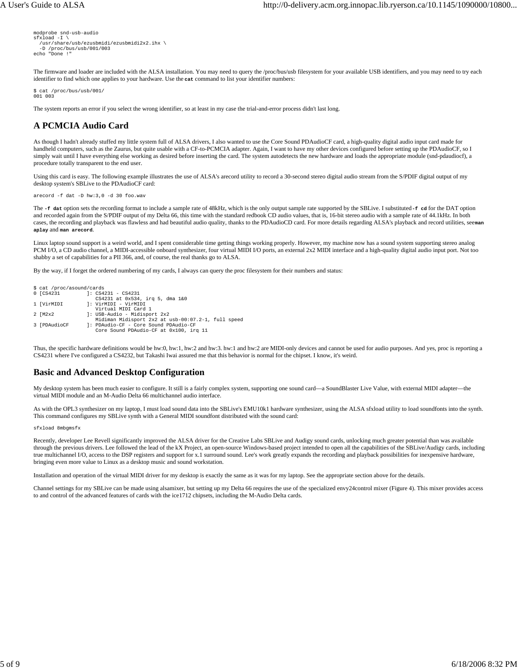```
modprobe snd-usb-audio
sfxload -I \ \ /usr/share/usb/ezusbmidi/ezusbmidi2x2.ihx \
   -D /proc/bus/usb/001/003
echo "Done !"
```
The firmware and loader are included with the ALSA installation. You may need to query the /proc/bus/usb filesystem for your available USB identifiers, and you may need to try each identifier to find which one applies to your hardware. Use the **cat** command to list your identifier numbers:

```
$ cat /proc/bus/usb/001/ 
001 003
```
The system reports an error if you select the wrong identifier, so at least in my case the trial-and-error process didn't last long.

# **A PCMCIA Audio Card**

As though I hadn't already stuffed my little system full of ALSA drivers, I also wanted to use the Core Sound PDAudioCF card, a high-quality digital audio input card made for handheld computers, such as the Zaurus, but quite usable with a CF-to-PCMCIA adapter. Again, I want to have my other devices configured before setting up the PDAudioCF, so I simply wait until I have everything else working as desired before inserting the card. The system autodetects the new hardware and loads the appropriate module (snd-pdaudiocf), a procedure totally transparent to the end user.

Using this card is easy. The following example illustrates the use of ALSA's arecord utility to record a 30-second stereo digital audio stream from the S/PDIF digital output of my desktop system's SBLive to the PDAudioCF card:

arecord -f dat -D hw:3,0 -d 30 foo.wav

The **-f dat** option sets the recording format to include a sample rate of 48kHz, which is the only output sample rate supported by the SBLive. I substituted **-f cd** for the DAT option and recorded again from the S/PDIF output of my Delta 66, this time with the standard redbook CD audio values, that is, 16-bit stereo audio with a sample rate of 44.1kHz. In both cases, the recording and playback was flawless and had beautiful audio quality, thanks to the PDAudioCD card. For more details regarding ALSA's playback and record utilities, see **man aplay** and **man arecord**.

Linux laptop sound support is a weird world, and I spent considerable time getting things working properly. However, my machine now has a sound system supporting stereo analog PCM I/O, a CD audio channel, a MIDI-accessible onboard synthesizer, four virtual MIDI I/O ports, an external 2x2 MIDI interface and a high-quality digital audio input port. Not too shabby a set of capabilities for a PII 366, and, of course, the real thanks go to ALSA.

By the way, if I forget the ordered numbering of my cards, I always can query the proc filesystem for their numbers and status:

```
$ cat /proc/asound/cards<br>0 [CS4231 1: CS4
                                    \therefore CS4231 - CS4231
CS4231 at 0x534, irq 5, dma 1&0<br>1 [VirMIDI |: VirMIDI - VirMIDI
 Virtual MIDI Card 1
2 [M2x2 ]: USB-Audio - Midisport 2x2
 Midiman Midisport 2x2 at usb-00:07.2-1, full speed
3 [PDAudioCF ]: PDAudio-CF - Core Sound PDAudio-CF
 Core Sound PDAudio-CF at 0x100, irq 11
```
Thus, the specific hardware definitions would be hw:0, hw:1, hw:2 and hw:3. hw:1 and hw:2 are MIDI-only devices and cannot be used for audio purposes. And yes, proc is reporting a CS4231 where I've configured a CS4232, but Takashi Iwai assured me that this behavior is normal for the chipset. I know, it's weird.

### **Basic and Advanced Desktop Configuration**

My desktop system has been much easier to configure. It still is a fairly complex system, supporting one sound card—a SoundBlaster Live Value, with external MIDI adapter—the virtual MIDI module and an M-Audio Delta 66 multichannel audio interface.

As with the OPL3 synthesizer on my laptop, I must load sound data into the SBLive's EMU10k1 hardware synthesizer, using the ALSA sfxload utility to load soundfonts into the synth. This command configures my SBLive synth with a General MIDI soundfont distributed with the sound card:

#### sfxload 8mbgmsfx

Recently, developer Lee Revell significantly improved the ALSA driver for the Creative Labs SBLive and Audigy sound cards, unlocking much greater potential than was available through the previous drivers. Lee followed the lead of the kX Project, an open-source Windows-based project intended to open all the capabilities of the SBLive/Audigy cards, including true multichannel I/O, access to the DSP registers and support for x.1 surround sound. Lee's work greatly expands the recording and playback possibilities for inexpensive hardware, bringing even more value to Linux as a desktop music and sound workstation.

Installation and operation of the virtual MIDI driver for my desktop is exactly the same as it was for my laptop. See the appropriate section above for the details.

Channel settings for my SBLive can be made using alsamixer, but setting up my Delta 66 requires the use of the specialized envy24control mixer (Figure 4). This mixer provides access to and control of the advanced features of cards with the ice1712 chipsets, including the M-Audio Delta cards.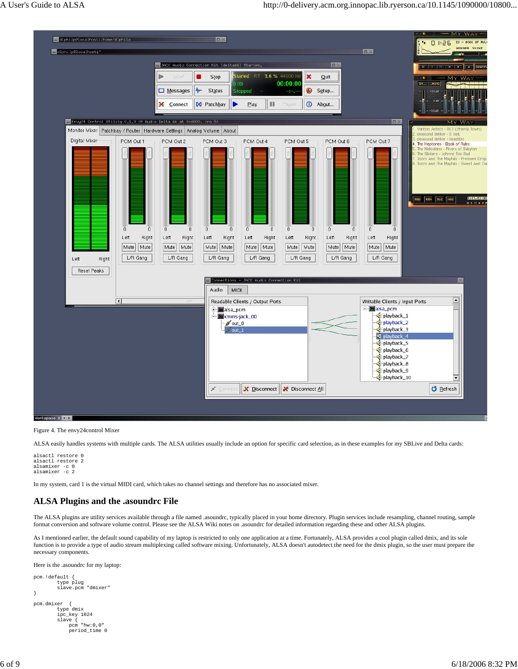

Figure 4. The envy24control Mixer

ALSA easily handles systems with multiple cards. The ALSA utilities usually include an option for specific card selection, as in these examples for my SBLive and Delta cards:

```
alsactl restore 0
alsactl restore 2
alsamixer -c 0
alsamixer -c 2
```
In my system, card 1 is the virtual MIDI card, which takes no channel settings and therefore has no associated mixer.

### **ALSA Plugins and the .asoundrc File**

The ALSA plugins are utility services available through a file named .asoundrc, typically placed in your home directory. Plugin services include resampling, channel routing, sample format conversion and software volume control. Please see the ALSA Wiki notes on .asoundrc for detailed information regarding these and other ALSA plugins.

As I mentioned earlier, the default sound capability of my laptop is restricted to only one application at a time. Fortunately, ALSA provides a cool plugin called dmix, and its sole function is to provide a type of audio stream multiplexing called software mixing. Unfortunately, ALSA doesn't autodetect the need for the dmix plugin, so the user must prepare the necessary components.

Here is the .asoundrc for my laptop:

```
pcm.!default {
 type plug
          slave.pcm "dmixer"
}
pcm.dmixer {
 type dmix
 ipc_key 1024 
 slave {
               pcm "hw:0,0"
               period_time 0
```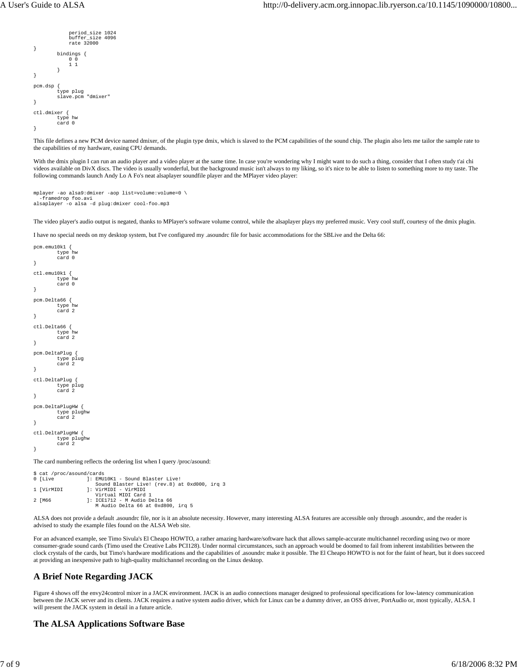```
 period_size 1024
               buffer_size 4096
               rate 32000
}
          bindings {
              0<sub>0</sub>\frac{1}{1} }
}
pcm.dsp {
          type plug
         slave.pcm "dmixer"
}
ctl.dmixer {
          type hw
          card 0
}
```
This file defines a new PCM device named dmixer, of the plugin type dmix, which is slaved to the PCM capabilities of the sound chip. The plugin also lets me tailor the sample rate to the capabilities of my hardware, easing CPU demands.

With the dmix plugin I can run an audio player and a video player at the same time. In case you're wondering why I might want to do such a thing, consider that I often study t'ai chi videos available on DivX discs. The video is usually wonderful, but the background music isn't always to my liking, so it's nice to be able to listen to something more to my taste. The following commands launch Andy Lo A Fo's neat alsaplayer soundfile player and the MPlayer video player:

```
mplayer -ao alsa9:dmixer -aop list=volume:volume=0 \
 -framedrop foo.avi
alsaplayer -o alsa -d plug:dmixer cool-foo.mp3
```
The video player's audio output is negated, thanks to MPlayer's software volume control, while the alsaplayer plays my preferred music. Very cool stuff, courtesy of the dmix plugin.

I have no special needs on my desktop system, but I've configured my .asoundrc file for basic accommodations for the SBLive and the Delta 66:

```
pcm.emu10k1 {
          type hw
          card 0
}
ct1 emu10k1 \ell type hw
          card 0
}
pcm.Delta66 {
         type
          card 2
}
ctl.Delta66 {
          type hw
          card 2
}
pcm.DeltaPlug {
 type plug
 card 2
}
ctl.DeltaPlug {
 type plug
 card 2
}
pcm.DeltaPlugHW {
 type plughw
 card 2
}
ctl.DeltaPlugHW {
 type plughw
 card 2
}
The card numbering reflects the ordering list when I query /proc/asound:
```

```
$ cat /proc/asound/cards<br>0 [Live ]: EMU
                    1: EMU10K1 - Sound Blaster Live!
Sound Blaster Live! (rev.8) at 0xd000, irq 3<br>1 [VirMIDI ]: VirMIDI - VirMIDI TO 2011
1 [VirMIDI ]: VirMIDI - VirMIDI
 Virtual MIDI Card 1
2 [M66 ]: ICE1712 - M Audio Delta 66
                         M Audio Delta 66 at 0xd800, irq 5
```
ALSA does not provide a default .asoundrc file, nor is it an absolute necessity. However, many interesting ALSA features are accessible only through .asoundrc, and the reader is advised to study the example files found on the ALSA Web site.

For an advanced example, see Timo Sivula's El Cheapo HOWTO, a rather amazing hardware/software hack that allows sample-accurate multichannel recording using two or more consumer-grade sound cards (Timo used the Creative Labs PCI128). Under normal circumstances, such an approach would be doomed to fail from inherent instabilities between the clock crystals of the cards, but Timo's hardware modifications and the capabilities of .asoundrc make it possible. The El Cheapo HOWTO is not for the faint of heart, but it does succeed at providing an inexpensive path to high-quality multichannel recording on the Linux desktop.

# **A Brief Note Regarding JACK**

Figure 4 shows off the envy24control mixer in a JACK environment. JACK is an audio connections manager designed to professional specifications for low-latency communication between the JACK server and its clients. JACK requires a native system audio driver, which for Linux can be a dummy driver, an OSS driver, PortAudio or, most typically, ALSA. I will present the JACK system in detail in a future article.

### **The ALSA Applications Software Base**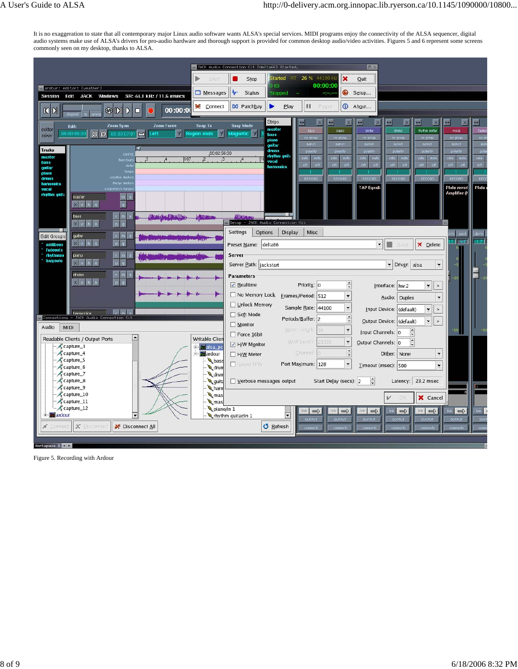It is no exaggeration to state that all contemporary major Linux audio software wants ALSA's special services. MIDI programs enjoy the connectivity of the ALSA sequencer, digital audio systems make use of ALSA's drivers for pro-audio hardware and thorough support is provided for common desktop audio/video activities. Figures 5 and 6 represent some screens commonly seen on my desktop, thanks to ALSA.

|                                                                                                                                                                                                          | JACK Audio Connection Kit [delta66] Started,                                                                                                                                                                   | $\Box$                                                                                                                                                                                                                                                                                                                  |
|----------------------------------------------------------------------------------------------------------------------------------------------------------------------------------------------------------|----------------------------------------------------------------------------------------------------------------------------------------------------------------------------------------------------------------|-------------------------------------------------------------------------------------------------------------------------------------------------------------------------------------------------------------------------------------------------------------------------------------------------------------------------|
| Start                                                                                                                                                                                                    | Started RT 26 % 44100 Hz<br>$\mathbf x$<br>Stop<br>00:00:00<br>(0)                                                                                                                                             | Quit                                                                                                                                                                                                                                                                                                                    |
| ardour: editor: [weather]<br>Messages<br>Windows<br>SR: 44.1 kHz / 11.6 msecs<br><b>Session</b><br>Edit JACK                                                                                             | 4r<br>$\bullet$<br>Status<br>Stopped                                                                                                                                                                           | Setup                                                                                                                                                                                                                                                                                                                   |
| Connect<br>0:00:00<br>$\mathbb{K}$<br>¢<br>$\mathbb{R}$<br>$\mathsf{N}$<br>D<br>$\Box$                                                                                                                   | m<br><b>M</b> Patchbay<br>Play<br>Pause                                                                                                                                                                        | 1 About                                                                                                                                                                                                                                                                                                                 |
|                                                                                                                                                                                                          | Strips<br>$\leftrightarrow$<br>$\leftrightarrow$<br>$\times$<br>$\vert x \vert$                                                                                                                                | $\leftrightarrow$<br>$\leftrightarrow$<br>$\vert x \vert$<br>$\leftrightarrow$<br>$\vert x \vert$<br>$\leftrightarrow$<br>$\leftrightarrow$                                                                                                                                                                             |
| Zoom Span<br><b>Zoom Focus</b><br>Snap To<br>Edit:<br>editor<br>9 Q<br>00:00:00<br>left<br>M<br><b>V</b><br>$\Box$<br><b>Region ends</b><br>00 00 07 0<br>mixer                                          | <b>Snap Mode</b><br>master<br>bass<br>piano<br><b>Magnetic</b><br>17<br>bass<br>no group<br>no group<br>piano                                                                                                  | drums<br>rhythm guitar<br>vocal<br>ham<br>guitar<br>no g<br>no group<br>no group<br>no group<br>no group                                                                                                                                                                                                                |
| ⋜<br><b>Tracks</b><br>00:02:56:00<br>SMPTE<br>master<br> 107<br>$\overline{\mathcal{Z}}$<br>Bars: Beat<br>bass<br>Met<br>guitar<br>Temp<br>piano<br>Location Marke<br>drums<br>Range Market<br>harmonica | <b>INPUT</b><br><b>INPUT</b><br>quitar<br>drums<br>polarity<br>polarity<br>rhythm quit<br>solo<br>mute<br>solo<br>mute<br>$\overline{.4}$<br>vocal<br>off<br>off<br>off<br>off<br>hamonica<br>RECORD<br>RECORD | <b>INP</b><br><b>INPUT</b><br><b>INPUT</b><br><b>INPUT</b><br><b>INPUT</b><br>pol<br>polarity<br>polarity<br>polarity<br>polarity<br>solo<br>solo<br>mute<br>solo<br>mute<br>solo<br>mute<br>solo<br>mute<br>off<br>off<br>off<br>off<br>off<br>off<br>off<br>off<br>off<br>REC<br>RECORD<br>RECORD<br>RECORD<br>RECORD |
| vocal<br>rhythm guita<br>master<br>m<br>g.<br>h<br>$\mathbf{m}$<br>bass<br><b>The Party of The Property of the Property</b><br><b>WILLIAM</b>                                                            | <b>ANTIQUILIDEA</b>                                                                                                                                                                                            | Plate<br><b>TAP Equali</b><br>Plate reverl<br>Amplifier (P                                                                                                                                                                                                                                                              |
| $p \mid g$<br>$X$ v $h$                                                                                                                                                                                  | Setup - JACK Audio Connection Kit<br>Settings<br>Options<br><b>Display</b><br>Misc                                                                                                                             | $d$ b $F$ 5<br>post                                                                                                                                                                                                                                                                                                     |
| guitar<br><b>Edit Groups</b><br>$\times$ $\vee$ $h$<br>$p \mid q$<br>$\overline{a}$<br>midiboys                                                                                                          | Preset Name: delta66                                                                                                                                                                                           | $-1.7$<br>$\blacksquare$ -inf<br>∵∥<br>X Delete<br>H.<br>Save                                                                                                                                                                                                                                                           |
| <b>fadeouts</b><br><b>rhythmso</b><br>m<br>piano<br>harpsolo<br>$\mathfrak{g}$<br>p<br>$X$ v h                                                                                                           | Server<br>Server Path:  jackstart                                                                                                                                                                              | Driver: alsa<br>$\ddot{}$                                                                                                                                                                                                                                                                                               |
| $r \mid m$<br>drums<br>$X$ v $h$<br>p q<br>$\overline{a}$                                                                                                                                                | <b>Parameters</b><br>$\frac{\rightarrow}{\sqrt{2}}$<br>$\sqrt{\phantom{a}}$ Realtime<br>Priority: 0                                                                                                            | -11<br>Interface: hw:2<br>$\vert \cdot \vert$                                                                                                                                                                                                                                                                           |
|                                                                                                                                                                                                          | $\Box$ No Memory Lock<br>Erames/Period: 512<br>$\ddot{}$                                                                                                                                                       | Audio: Duplex<br>$\ddot{}$                                                                                                                                                                                                                                                                                              |
| The Paul St<br>armonica                                                                                                                                                                                  | Unlock Memory<br>Sample Rate: 44100<br>$\blacktriangledown$                                                                                                                                                    | Input Device: (default)<br>٠<br>$\rightarrow$                                                                                                                                                                                                                                                                           |
| Connections - JACK Audio Connection Kit                                                                                                                                                                  | Soft Mode<br>$\frac{1}{\sqrt{2}}$<br>Periods/Buffer: 2<br>$\Box$ Monitor                                                                                                                                       | $\rightarrow$<br>$\blacktriangledown$<br><b>Qutput Device: (default)</b>                                                                                                                                                                                                                                                |
| Audio<br><b>MIDI</b>                                                                                                                                                                                     | Word Length:<br>$\ddot{\phantom{0}}$<br>16<br>$\Box$ Force 16bit                                                                                                                                               | $-50$<br>$\overbrace{\phantom{a}}^{\star}$<br>Input Channels: 0                                                                                                                                                                                                                                                         |
| $\blacktriangle$<br>Readable Clients / Output Ports<br><b>Writable Clier</b><br>Capture_3<br><mark>स्</mark> धि alsa_po                                                                                  | Wait (usec)<br>$\ddot{\phantom{0}}$<br>21333<br>H/W Monitor                                                                                                                                                    | $\ddot{\cdot}$<br>Output Channels: 0                                                                                                                                                                                                                                                                                    |
| Capture 4<br>ardour                                                                                                                                                                                      | $\frac{1}{\sqrt{2}}$<br>Channel<br>H/W Meter                                                                                                                                                                   | Dither: None<br>$\overline{\mathbf{v}}$                                                                                                                                                                                                                                                                                 |
| capture_5<br>bass<br>capture_6<br>drun                                                                                                                                                                   | Port Maximum: 128<br>$\ddot{}$<br>I Ignore H/W                                                                                                                                                                 | Timeout (msec): 500<br>$\ddot{}$                                                                                                                                                                                                                                                                                        |
| Capture_7<br>drun<br>Capture_8                                                                                                                                                                           |                                                                                                                                                                                                                | $\frac{1}{\sqrt{2}}$                                                                                                                                                                                                                                                                                                    |
| guita<br>capture_9<br>harr                                                                                                                                                                               | Verbose messages output<br>Start Delay (secs): 2                                                                                                                                                               | 23.2 msec<br>Latency:                                                                                                                                                                                                                                                                                                   |
| capture_10<br>mas<br>Capture_11<br>mas                                                                                                                                                                   |                                                                                                                                                                                                                | X Cancel<br>v<br>OF                                                                                                                                                                                                                                                                                                     |
| capture_12<br>piano/in 1                                                                                                                                                                                 | $\Rightarrow$<br>$\Rightarrow$<br>link  <br>link <sup>1</sup>                                                                                                                                                  | link $\Rightarrow$<br>$\Rightarrow$<br>link $\Rightarrow$<br>$\Rightarrow$<br>link<br>link                                                                                                                                                                                                                              |
| + ardour<br>٠                                                                                                                                                                                            | $\overline{\phantom{0}}$<br>thythm guitar/in 1<br>OUTPUT<br>OUTPUT                                                                                                                                             | OUTPUT<br>out<br><b>OUTPUT</b><br>OUTPUT<br><b>OUTPUT</b>                                                                                                                                                                                                                                                               |
| X Disconnect<br>S Disconnect All<br>x.<br>Connect                                                                                                                                                        | <b>O</b> Refresh<br>comments<br>comments                                                                                                                                                                       | com<br>comments<br>comments<br>comments<br>comments                                                                                                                                                                                                                                                                     |
| Workspace 1 4                                                                                                                                                                                            |                                                                                                                                                                                                                |                                                                                                                                                                                                                                                                                                                         |

Figure 5. Recording with Ardour